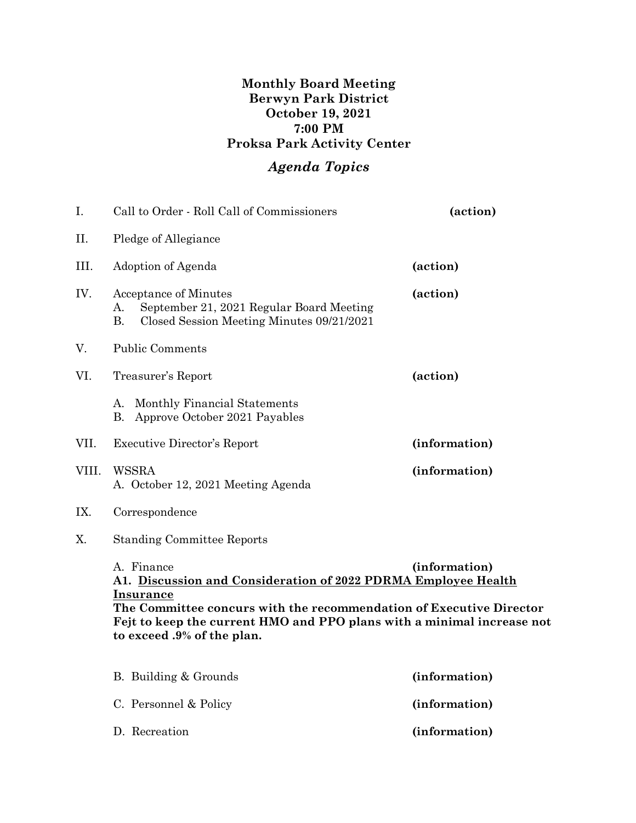## **Monthly Board Meeting Berwyn Park District October 19, 2021 7:00 PM Proksa Park Activity Center**

## *Agenda Topics*

| I.    | Call to Order - Roll Call of Commissioners                                                                                                                                                                                                                                      | (action)      |
|-------|---------------------------------------------------------------------------------------------------------------------------------------------------------------------------------------------------------------------------------------------------------------------------------|---------------|
| Π.    | Pledge of Allegiance                                                                                                                                                                                                                                                            |               |
| III.  | Adoption of Agenda                                                                                                                                                                                                                                                              | (action)      |
| IV.   | Acceptance of Minutes<br>September 21, 2021 Regular Board Meeting<br>А.<br><b>B.</b><br>Closed Session Meeting Minutes 09/21/2021                                                                                                                                               | (action)      |
| V.    | <b>Public Comments</b>                                                                                                                                                                                                                                                          |               |
| VI.   | Treasurer's Report                                                                                                                                                                                                                                                              | (action)      |
|       | Monthly Financial Statements<br>A.<br>Approve October 2021 Payables<br>В.                                                                                                                                                                                                       |               |
| VII.  | Executive Director's Report                                                                                                                                                                                                                                                     | (information) |
| VIII. | <b>WSSRA</b><br>A. October 12, 2021 Meeting Agenda                                                                                                                                                                                                                              | (information) |
| IX.   | Correspondence                                                                                                                                                                                                                                                                  |               |
| X.    | <b>Standing Committee Reports</b>                                                                                                                                                                                                                                               |               |
|       | A. Finance<br>A1. Discussion and Consideration of 2022 PDRMA Employee Health<br><b>Insurance</b><br>The Committee concurs with the recommendation of Executive Director<br>Fejt to keep the current HMO and PPO plans with a minimal increase not<br>to exceed .9% of the plan. | (information) |
|       | B. Building & Grounds                                                                                                                                                                                                                                                           | (information) |
|       | C. Personnel & Policy                                                                                                                                                                                                                                                           | (information) |

D. Recreation **(information)**